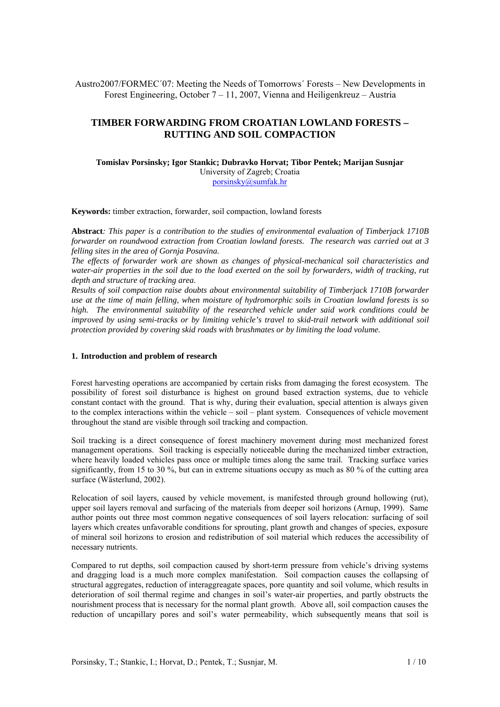Austro2007/FORMEC´07: Meeting the Needs of Tomorrows´ Forests – New Developments in Forest Engineering, October 7 – 11, 2007, Vienna and Heiligenkreuz – Austria

# **TIMBER FORWARDING FROM CROATIAN LOWLAND FORESTS – RUTTING AND SOIL COMPACTION**

# **Tomislav Porsinsky; Igor Stankic; Dubravko Horvat; Tibor Pentek; Marijan Susnjar**  University of Zagreb; Croatia

porsinsky@sumfak.hr

**Keywords:** timber extraction, forwarder, soil compaction, lowland forests

**Abstract***: This paper is a contribution to the studies of environmental evaluation of Timberjack 1710B forwarder on roundwood extraction from Croatian lowland forests. The research was carried out at 3 felling sites in the area of Gornja Posavina.* 

*The effects of forwarder work are shown as changes of physical-mechanical soil characteristics and water-air properties in the soil due to the load exerted on the soil by forwarders, width of tracking, rut depth and structure of tracking area.* 

*Results of soil compaction raise doubts about environmental suitability of Timberjack 1710B forwarder use at the time of main felling, when moisture of hydromorphic soils in Croatian lowland forests is so high. The environmental suitability of the researched vehicle under said work conditions could be improved by using semi-tracks or by limiting vehicle's travel to skid-trail network with additional soil protection provided by covering skid roads with brushmates or by limiting the load volume.* 

### **1. Introduction and problem of research**

Forest harvesting operations are accompanied by certain risks from damaging the forest ecosystem. The possibility of forest soil disturbance is highest on ground based extraction systems, due to vehicle constant contact with the ground. That is why, during their evaluation, special attention is always given to the complex interactions within the vehicle – soil – plant system. Consequences of vehicle movement throughout the stand are visible through soil tracking and compaction.

Soil tracking is a direct consequence of forest machinery movement during most mechanized forest management operations. Soil tracking is especially noticeable during the mechanized timber extraction, where heavily loaded vehicles pass once or multiple times along the same trail. Tracking surface varies significantly, from 15 to 30 %, but can in extreme situations occupy as much as 80 % of the cutting area surface (Wästerlund, 2002).

Relocation of soil layers, caused by vehicle movement, is manifested through ground hollowing (rut), upper soil layers removal and surfacing of the materials from deeper soil horizons (Arnup, 1999). Same author points out three most common negative consequences of soil layers relocation: surfacing of soil layers which creates unfavorable conditions for sprouting, plant growth and changes of species, exposure of mineral soil horizons to erosion and redistribution of soil material which reduces the accessibility of necessary nutrients.

Compared to rut depths, soil compaction caused by short-term pressure from vehicle's driving systems and dragging load is a much more complex manifestation. Soil compaction causes the collapsing of structural aggregates, reduction of interaggreagate spaces, pore quantity and soil volume, which results in deterioration of soil thermal regime and changes in soil's water-air properties, and partly obstructs the nourishment process that is necessary for the normal plant growth. Above all, soil compaction causes the reduction of uncapillary pores and soil's water permeability, which subsequently means that soil is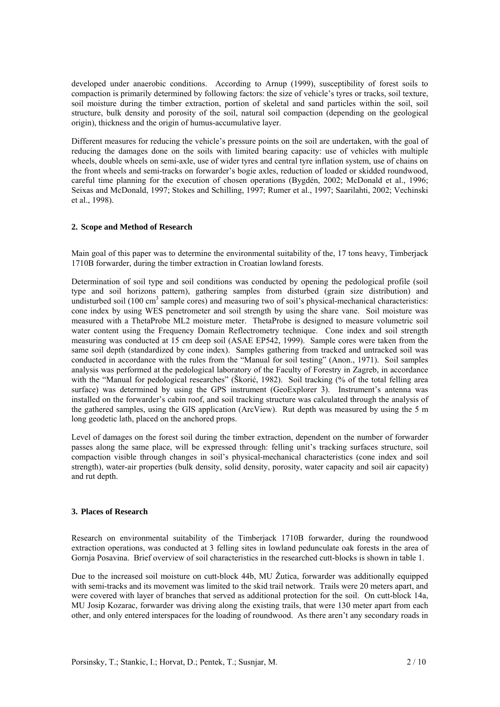developed under anaerobic conditions. According to Arnup (1999), susceptibility of forest soils to compaction is primarily determined by following factors: the size of vehicle's tyres or tracks, soil texture, soil moisture during the timber extraction, portion of skeletal and sand particles within the soil, soil structure, bulk density and porosity of the soil, natural soil compaction (depending on the geological origin), thickness and the origin of humus-accumulative layer.

Different measures for reducing the vehicle's pressure points on the soil are undertaken, with the goal of reducing the damages done on the soils with limited bearing capacity: use of vehicles with multiple wheels, double wheels on semi-axle, use of wider tyres and central tyre inflation system, use of chains on the front wheels and semi-tracks on forwarder's bogie axles, reduction of loaded or skidded roundwood, careful time planning for the execution of chosen operations (Bygdén, 2002; McDonald et al., 1996; Seixas and McDonald, 1997; Stokes and Schilling, 1997; Rumer et al., 1997; Saarilahti, 2002; Vechinski et al., 1998).

## **2. Scope and Method of Research**

Main goal of this paper was to determine the environmental suitability of the, 17 tons heavy, Timberjack 1710B forwarder, during the timber extraction in Croatian lowland forests.

Determination of soil type and soil conditions was conducted by opening the pedological profile (soil type and soil horizons pattern), gathering samples from disturbed (grain size distribution) and undisturbed soil (100 cm<sup>3</sup> sample cores) and measuring two of soil's physical-mechanical characteristics: cone index by using WES penetrometer and soil strength by using the share vane. Soil moisture was measured with a ThetaProbe ML2 moisture meter. ThetaProbe is designed to measure volumetric soil water content using the Frequency Domain Reflectrometry technique. Cone index and soil strength measuring was conducted at 15 cm deep soil (ASAE EP542, 1999). Sample cores were taken from the same soil depth (standardized by cone index). Samples gathering from tracked and untracked soil was conducted in accordance with the rules from the "Manual for soil testing" (Anon., 1971). Soil samples analysis was performed at the pedological laboratory of the Faculty of Forestry in Zagreb, in accordance with the "Manual for pedological researches" (Škorić, 1982). Soil tracking (% of the total felling area surface) was determined by using the GPS instrument (GeoExplorer 3). Instrument's antenna was installed on the forwarder's cabin roof, and soil tracking structure was calculated through the analysis of the gathered samples, using the GIS application (ArcView). Rut depth was measured by using the 5 m long geodetic lath, placed on the anchored props.

Level of damages on the forest soil during the timber extraction, dependent on the number of forwarder passes along the same place, will be expressed through: felling unit's tracking surfaces structure, soil compaction visible through changes in soil's physical-mechanical characteristics (cone index and soil strength), water-air properties (bulk density, solid density, porosity, water capacity and soil air capacity) and rut depth.

## **3. Places of Research**

Research on environmental suitability of the Timberjack 1710B forwarder, during the roundwood extraction operations, was conducted at 3 felling sites in lowland pedunculate oak forests in the area of Gornja Posavina. Brief overview of soil characteristics in the researched cutt-blocks is shown in table 1.

Due to the increased soil moisture on cutt-block 44b, MU Žutica, forwarder was additionally equipped with semi-tracks and its movement was limited to the skid trail network. Trails were 20 meters apart, and were covered with layer of branches that served as additional protection for the soil. On cutt-block 14a, MU Josip Kozarac, forwarder was driving along the existing trails, that were 130 meter apart from each other, and only entered interspaces for the loading of roundwood. As there aren't any secondary roads in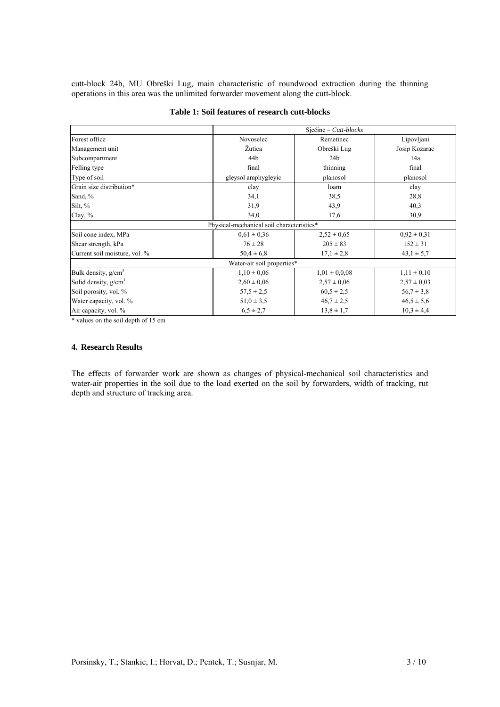cutt-block 24b, MU Obreški Lug, main characteristic of roundwood extraction during the thinning operations in this area was the unlimited forwarder movement along the cutt-block.

|                               | $Siečine-Cutt-blocks$                     |                   |                 |
|-------------------------------|-------------------------------------------|-------------------|-----------------|
| Forest office                 | Novoselec                                 | Remetinec         | Lipovljani      |
| Management unit               | Žutica                                    | Obreški Lug       | Josip Kozarac   |
| Subcompartment                | 44b                                       | 24 <sub>b</sub>   | 14a             |
| Felling type                  | final                                     | thinning          | final           |
| Type of soil                  | gleysol amphygleyic                       | planosol          | planosol        |
| Grain size distribution*      | clay                                      | loam              | clay            |
| Sand, %                       | 34,1                                      | 38,5              | 28,8            |
| Silt, $%$                     | 31,9                                      | 43,9              | 40,3            |
| Clay, %                       | 34,0                                      | 17,6              | 30,9            |
|                               | Physical-mechanical soil characteristics* |                   |                 |
| Soil cone index, MPa          | $0.61 \pm 0.36$                           | $2,52 \pm 0,65$   | $0,92 \pm 0,31$ |
| Shear strength, kPa           | $76 \pm 28$                               | $205 \pm 83$      | $152 \pm 31$    |
| Current soil moisture, vol. % | $50.4 \pm 6.8$                            | $17,1 \pm 2,8$    | $43,1 \pm 5,7$  |
|                               | Water-air soil properties*                |                   |                 |
| Bulk density, $g/cm3$         | $1,10 \pm 0,06$                           | $1,01 \pm 0,0.08$ | $1,11 \pm 0,10$ |
| Solid density, $g/cm3$        | $2,60 \pm 0,06$                           | $2,57 \pm 0.06$   | $2,57 \pm 0,03$ |
| Soil porosity, vol. %         | $57.5 \pm 2.5$                            | $60,5 \pm 2,5$    | $56.7 \pm 3.8$  |
| Water capacity, vol. %        | $51,0 \pm 3,5$                            | $46.7 \pm 2.5$    | $46.5 \pm 5.6$  |
| Air capacity, vol. %          | $6,5 \pm 2,7$                             | $13,8 \pm 1,7$    | $10,3 \pm 4,4$  |

## **Table 1: Soil features of research cutt-blocks**

\* values on the soil depth of 15 cm

## **4. Research Results**

The effects of forwarder work are shown as changes of physical-mechanical soil characteristics and water-air properties in the soil due to the load exerted on the soil by forwarders, width of tracking, rut depth and structure of tracking area.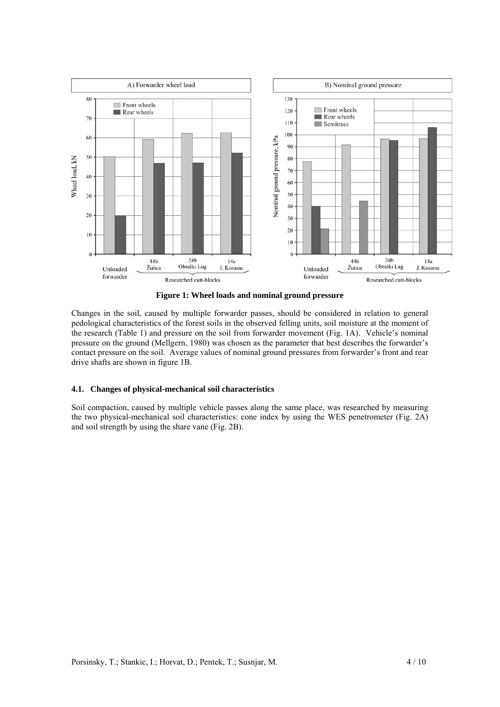

**Figure 1: Wheel loads and nominal ground pressure** 

Changes in the soil, caused by multiple forwarder passes, should be considered in relation to general pedological characteristics of the forest soils in the observed felling units, soil moisture at the moment of the research (Table 1) and pressure on the soil from forwarder movement (Fig. 1A). Vehicle's nominal pressure on the ground (Mellgern, 1980) was chosen as the parameter that best describes the forwarder's contact pressure on the soil. Average values of nominal ground pressures from forwarder's front and rear drive shafts are shown in figure 1B.

# **4.1. Changes of physical-mechanical soil characteristics**

Soil compaction, caused by multiple vehicle passes along the same place, was researched by measuring the two physical-mechanical soil characteristics: cone index by using the WES penetrometer (Fig. 2A) and soil strength by using the share vane (Fig. 2B).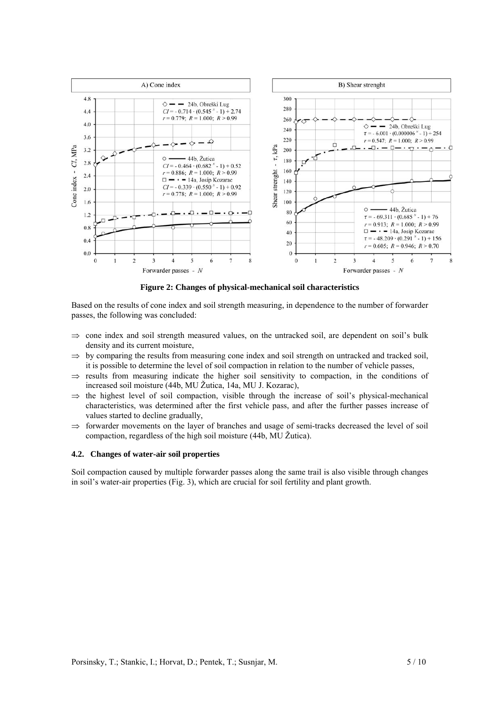

**Figure 2: Changes of physical-mechanical soil characteristics** 

Based on the results of cone index and soil strength measuring, in dependence to the number of forwarder passes, the following was concluded:

- $\Rightarrow$  cone index and soil strength measured values, on the untracked soil, are dependent on soil's bulk density and its current moisture,
- $\Rightarrow$  by comparing the results from measuring cone index and soil strength on untracked and tracked soil, it is possible to determine the level of soil compaction in relation to the number of vehicle passes,
- $\Rightarrow$  results from measuring indicate the higher soil sensitivity to compaction, in the conditions of increased soil moisture (44b, MU Žutica, 14a, MU J. Kozarac),
- $\Rightarrow$  the highest level of soil compaction, visible through the increase of soil's physical-mechanical characteristics, was determined after the first vehicle pass, and after the further passes increase of values started to decline gradually,
- ⇒ forwarder movements on the layer of branches and usage of semi-tracks decreased the level of soil compaction, regardless of the high soil moisture (44b, MU Žutica).

### **4.2. Changes of water-air soil properties**

Soil compaction caused by multiple forwarder passes along the same trail is also visible through changes in soil's water-air properties (Fig. 3), which are crucial for soil fertility and plant growth.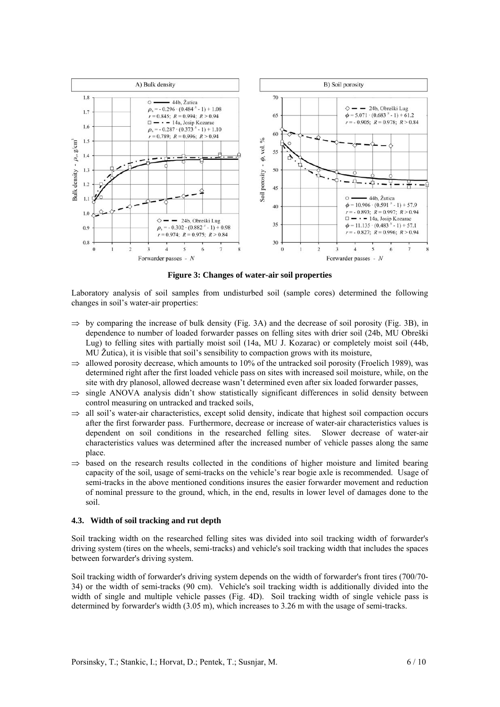

**Figure 3: Changes of water-air soil properties** 

Laboratory analysis of soil samples from undisturbed soil (sample cores) determined the following changes in soil's water-air properties:

- $\Rightarrow$  by comparing the increase of bulk density (Fig. 3A) and the decrease of soil porosity (Fig. 3B), in dependence to number of loaded forwarder passes on felling sites with drier soil (24b, MU Obreški Lug) to felling sites with partially moist soil (14a, MU J. Kozarac) or completely moist soil (44b, MU Žutica), it is visible that soil's sensibility to compaction grows with its moisture,
- $\Rightarrow$  allowed porosity decrease, which amounts to 10% of the untracked soil porosity (Froelich 1989), was determined right after the first loaded vehicle pass on sites with increased soil moisture, while, on the site with dry planosol, allowed decrease wasn't determined even after six loaded forwarder passes,
- $\Rightarrow$  single ANOVA analysis didn't show statistically significant differences in solid density between control measuring on untracked and tracked soils,
- $\Rightarrow$  all soil's water-air characteristics, except solid density, indicate that highest soil compaction occurs after the first forwarder pass. Furthermore, decrease or increase of water-air characteristics values is dependent on soil conditions in the researched felling sites. Slower decrease of water-air characteristics values was determined after the increased number of vehicle passes along the same place.
- ⇒ based on the research results collected in the conditions of higher moisture and limited bearing capacity of the soil, usage of semi-tracks on the vehicle's rear bogie axle is recommended. Usage of semi-tracks in the above mentioned conditions insures the easier forwarder movement and reduction of nominal pressure to the ground, which, in the end, results in lower level of damages done to the soil.

### **4.3. Width of soil tracking and rut depth**

Soil tracking width on the researched felling sites was divided into soil tracking width of forwarder's driving system (tires on the wheels, semi-tracks) and vehicle's soil tracking width that includes the spaces between forwarder's driving system.

Soil tracking width of forwarder's driving system depends on the width of forwarder's front tires (700/70- 34) or the width of semi-tracks (90 cm). Vehicle's soil tracking width is additionally divided into the width of single and multiple vehicle passes (Fig. 4D). Soil tracking width of single vehicle pass is determined by forwarder's width (3.05 m), which increases to 3.26 m with the usage of semi-tracks.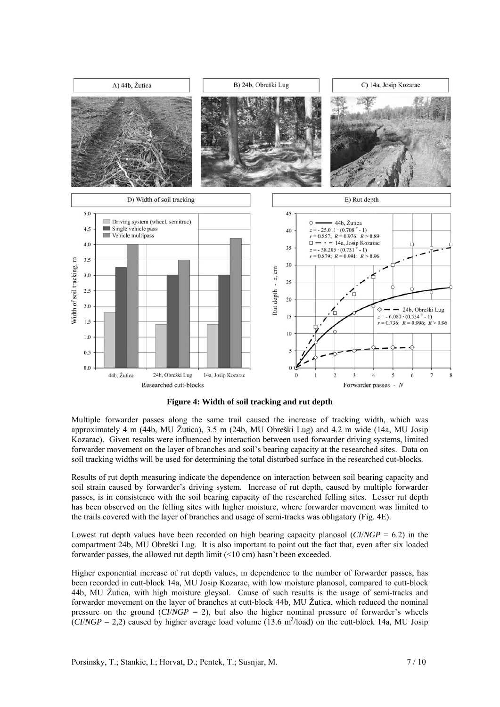

**Figure 4: Width of soil tracking and rut depth** 

Multiple forwarder passes along the same trail caused the increase of tracking width, which was approximately 4 m (44b, MU Žutica), 3.5 m (24b, MU Obreški Lug) and 4.2 m wide (14a, MU Josip Kozarac). Given results were influenced by interaction between used forwarder driving systems, limited forwarder movement on the layer of branches and soil's bearing capacity at the researched sites. Data on soil tracking widths will be used for determining the total disturbed surface in the researched cut-blocks.

Results of rut depth measuring indicate the dependence on interaction between soil bearing capacity and soil strain caused by forwarder's driving system. Increase of rut depth, caused by multiple forwarder passes, is in consistence with the soil bearing capacity of the researched felling sites. Lesser rut depth has been observed on the felling sites with higher moisture, where forwarder movement was limited to the trails covered with the layer of branches and usage of semi-tracks was obligatory (Fig. 4E).

Lowest rut depth values have been recorded on high bearing capacity planosol (*CI*/*NGP* = 6.2) in the compartment 24b, MU Obreški Lug. It is also important to point out the fact that, even after six loaded forwarder passes, the allowed rut depth limit (<10 cm) hasn't been exceeded.

Higher exponential increase of rut depth values, in dependence to the number of forwarder passes, has been recorded in cutt-block 14a, MU Josip Kozarac, with low moisture planosol, compared to cutt-block 44b, MU Žutica, with high moisture gleysol. Cause of such results is the usage of semi-tracks and forwarder movement on the layer of branches at cutt-block 44b, MU Žutica, which reduced the nominal pressure on the ground  $(CI/NGP = 2)$ , but also the higher nominal pressure of forwarder's wheels  $\overline{(C I/NGP = 2,2)}$  caused by higher average load volume (13.6 m<sup>3</sup>/load) on the cutt-block 14a, MU Josip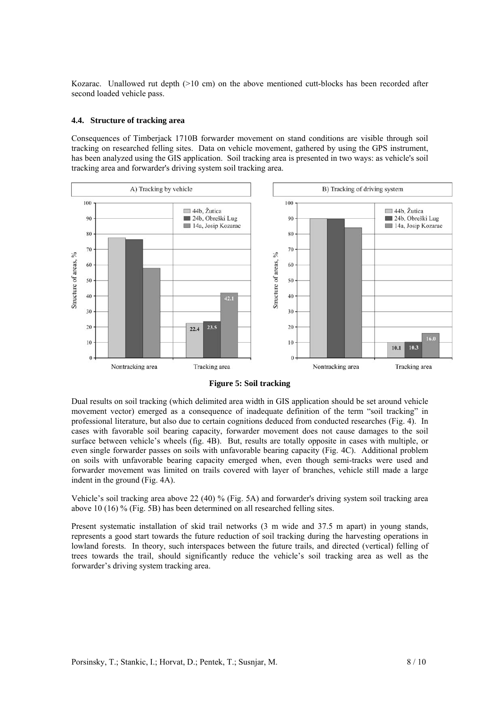Kozarac. Unallowed rut depth  $(>10 \text{ cm})$  on the above mentioned cutt-blocks has been recorded after second loaded vehicle pass.

### **4.4. Structure of tracking area**

Consequences of Timberjack 1710B forwarder movement on stand conditions are visible through soil tracking on researched felling sites. Data on vehicle movement, gathered by using the GPS instrument, has been analyzed using the GIS application. Soil tracking area is presented in two ways: as vehicle's soil tracking area and forwarder's driving system soil tracking area.



**Figure 5: Soil tracking** 

Dual results on soil tracking (which delimited area width in GIS application should be set around vehicle movement vector) emerged as a consequence of inadequate definition of the term "soil tracking" in professional literature, but also due to certain cognitions deduced from conducted researches (Fig. 4). In cases with favorable soil bearing capacity, forwarder movement does not cause damages to the soil surface between vehicle's wheels (fig. 4B). But, results are totally opposite in cases with multiple, or even single forwarder passes on soils with unfavorable bearing capacity (Fig. 4C). Additional problem on soils with unfavorable bearing capacity emerged when, even though semi-tracks were used and forwarder movement was limited on trails covered with layer of branches, vehicle still made a large indent in the ground (Fig. 4A).

Vehicle's soil tracking area above 22 (40) % (Fig. 5A) and forwarder's driving system soil tracking area above 10 (16) % (Fig. 5B) has been determined on all researched felling sites.

Present systematic installation of skid trail networks (3 m wide and 37.5 m apart) in young stands, represents a good start towards the future reduction of soil tracking during the harvesting operations in lowland forests. In theory, such interspaces between the future trails, and directed (vertical) felling of trees towards the trail, should significantly reduce the vehicle's soil tracking area as well as the forwarder's driving system tracking area.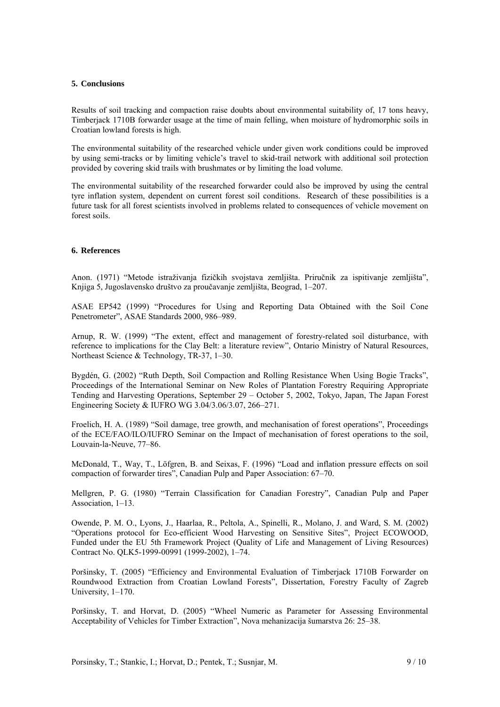#### **5. Conclusions**

Results of soil tracking and compaction raise doubts about environmental suitability of, 17 tons heavy, Timberjack 1710B forwarder usage at the time of main felling, when moisture of hydromorphic soils in Croatian lowland forests is high.

The environmental suitability of the researched vehicle under given work conditions could be improved by using semi-tracks or by limiting vehicle's travel to skid-trail network with additional soil protection provided by covering skid trails with brushmates or by limiting the load volume.

The environmental suitability of the researched forwarder could also be improved by using the central tyre inflation system, dependent on current forest soil conditions. Research of these possibilities is a future task for all forest scientists involved in problems related to consequences of vehicle movement on forest soils.

# **6. References**

Anon. (1971) "Metode istraživanja fizičkih svojstava zemljišta. Priručnik za ispitivanje zemljišta", Knjiga 5, Jugoslavensko društvo za proučavanje zemljišta, Beograd, 1–207.

ASAE EP542 (1999) "Procedures for Using and Reporting Data Obtained with the Soil Cone Penetrometer", ASAE Standards 2000, 986–989.

Arnup, R. W. (1999) "The extent, effect and management of forestry-related soil disturbance, with reference to implications for the Clay Belt: a literature review", Ontario Ministry of Natural Resources, Northeast Science & Technology, TR-37, 1–30.

Bygdén, G. (2002) "Ruth Depth, Soil Compaction and Rolling Resistance When Using Bogie Tracks", Proceedings of the International Seminar on New Roles of Plantation Forestry Requiring Appropriate Tending and Harvesting Operations, September 29 – October 5, 2002, Tokyo, Japan, The Japan Forest Engineering Society & IUFRO WG 3.04/3.06/3.07, 266–271.

Froelich, H. A. (1989) "Soil damage, tree growth, and mechanisation of forest operations", Proceedings of the ECE/FAO/ILO/IUFRO Seminar on the Impact of mechanisation of forest operations to the soil, Louvain-la-Neuve, 77–86.

McDonald, T., Way, T., Löfgren, B. and Seixas, F. (1996) "Load and inflation pressure effects on soil compaction of forwarder tires", Canadian Pulp and Paper Association: 67–70.

Mellgren, P. G. (1980) "Terrain Classification for Canadian Forestry", Canadian Pulp and Paper Association, 1–13.

Owende, P. M. O., Lyons, J., Haarlaa, R., Peltola, A., Spinelli, R., Molano, J. and Ward, S. M. (2002) "Operations protocol for Eco-efficient Wood Harvesting on Sensitive Sites", Project ECOWOOD, Funded under the EU 5th Framework Project (Quality of Life and Management of Living Resources) Contract No. QLK5-1999-00991 (1999-2002), 1–74.

Poršinsky, T. (2005) "Efficiency and Environmental Evaluation of Timberjack 1710B Forwarder on Roundwood Extraction from Croatian Lowland Forests", Dissertation, Forestry Faculty of Zagreb University, 1–170.

Poršinsky, T. and Horvat, D. (2005) "Wheel Numeric as Parameter for Assessing Environmental Acceptability of Vehicles for Timber Extraction", Nova mehanizacija šumarstva 26: 25–38.